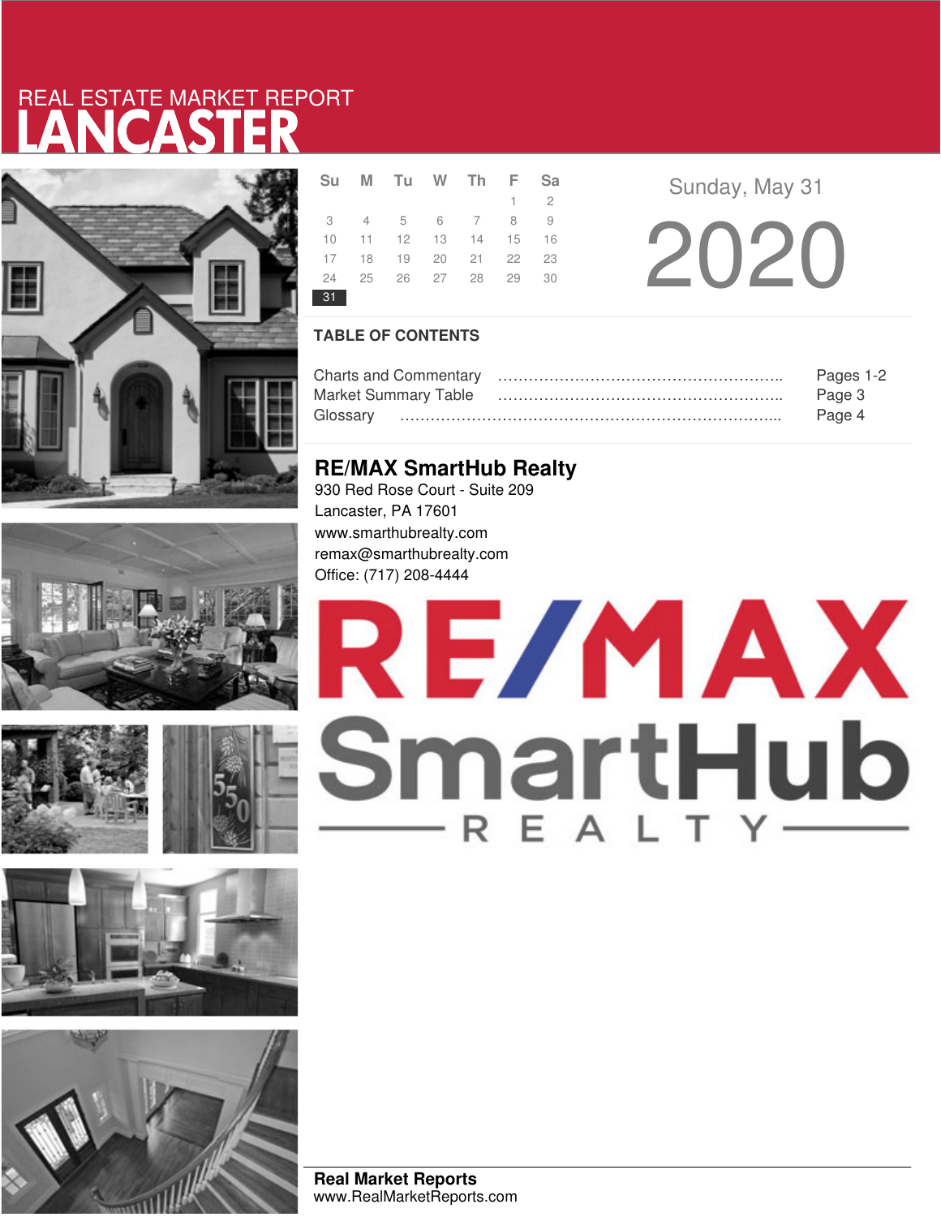# LANCASTER REAL ESTATE MARKET REPORT













|    | Su M Tu W Th F Sa                |  |             |  |
|----|----------------------------------|--|-------------|--|
|    |                                  |  | $1 \quad 2$ |  |
|    | 3 4 5 6 7 8 9                    |  |             |  |
|    | 10 11 12 13 14 15 16             |  |             |  |
|    | 17  18  19  20  21  22  23       |  |             |  |
|    | 24   25   26   27   28   29   30 |  |             |  |
| 31 |                                  |  |             |  |

**Sunday, May 31** 20 20

## **TABLE OF CONTENTS**

|                             | Pages 1-2 |
|-----------------------------|-----------|
| <b>Market Summary Table</b> | Page 3    |
|                             | Page 4    |

# **RE/MAX SmartHub Realty**

930 Red Rose Court - Suite 209 Lancaster, PA 17601 www.smarthubrealty.com remax@smarthubrealty.com Office: (717) 208-4444

# RE/MAX SmartHub

**Real Market Reports** www.RealMarketReports.com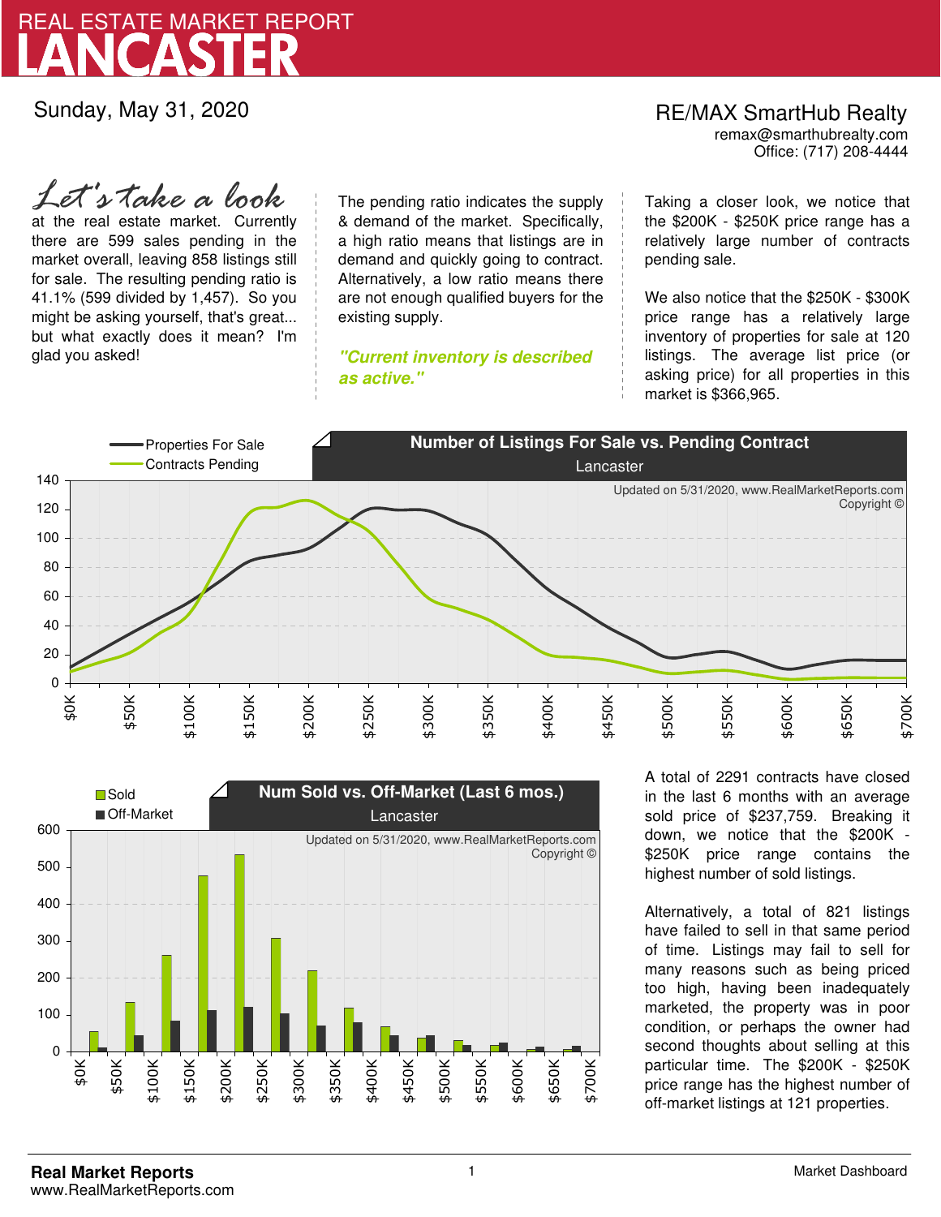

Sunday, May 31, 2020

# RE/MAX SmartHub Realty remax@smarthubrealty.com

Office: (717) 208-4444

at the real estate market. Currently there are 599 sales pending in the market overall, leaving 858 listings still for sale. The resulting pending ratio is 41.1% (599 divided by 1,457). So you might be asking yourself, that's great... but what exactly does it mean? I'm glad you asked! *Let's take a look*

The pending ratio indicates the supply & demand of the market. Specifically, a high ratio means that listings are in demand and quickly going to contract. Alternatively, a low ratio means there are not enough qualified buyers for the existing supply.

**"Current inventory is described as active."**

Taking a closer look, we notice that the \$200K - \$250K price range has a relatively large number of contracts pending sale.

We also notice that the \$250K - \$300K price range has a relatively large inventory of properties for sale at 120 listings. The average list price (or asking price) for all properties in this market is \$366,965.





A total of 2291 contracts have closed in the last 6 months with an average sold price of \$237,759. Breaking it down, we notice that the \$200K - \$250K price range contains the highest number of sold listings.

Alternatively, a total of 821 listings have failed to sell in that same period of time. Listings may fail to sell for many reasons such as being priced too high, having been inadequately marketed, the property was in poor condition, or perhaps the owner had second thoughts about selling at this particular time. The \$200K - \$250K price range has the highest number of off-market listings at 121 properties.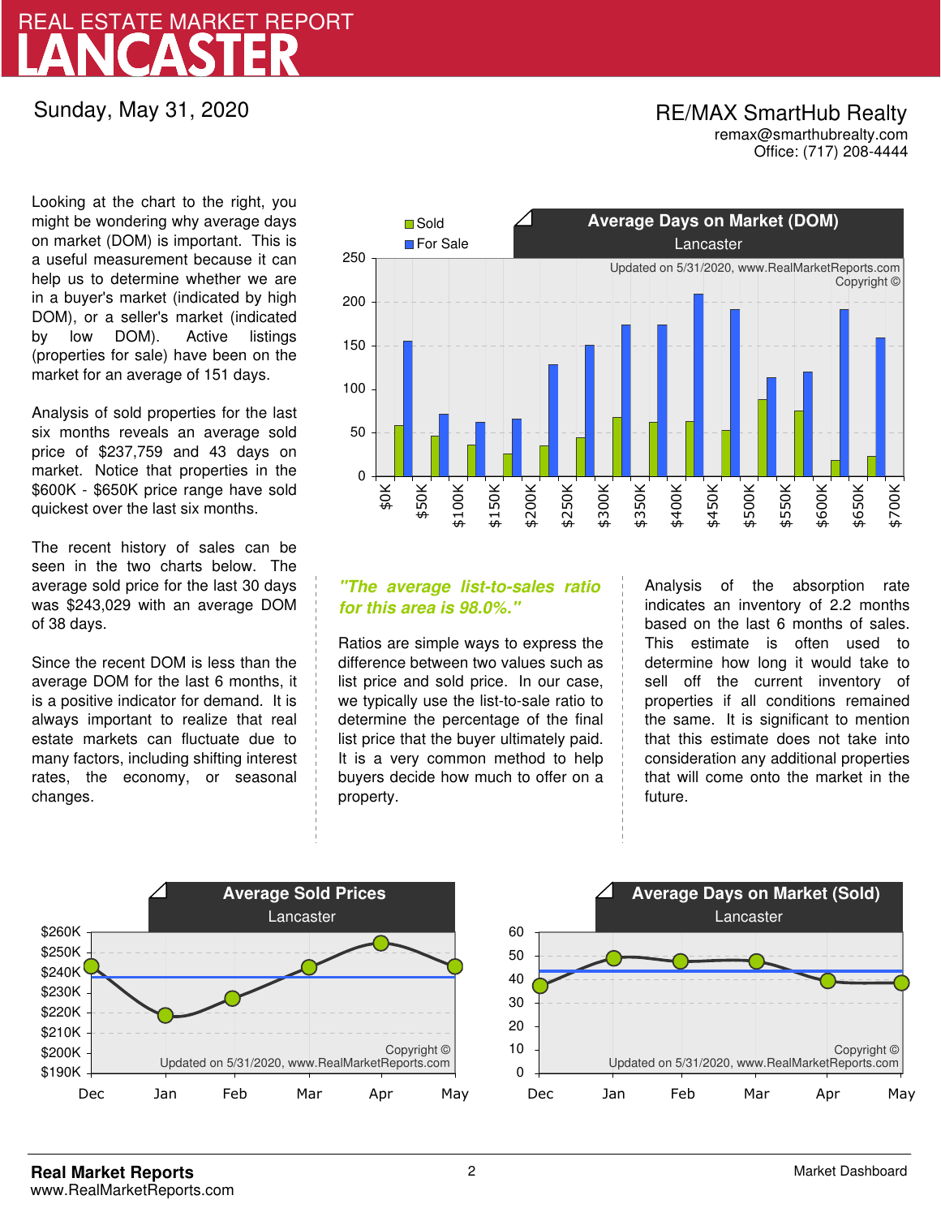# LANCASTER REAL ESTATE MARKET REPORT

Sunday, May 31, 2020

## RE/MAX SmartHub Realty remax@smarthubrealty.com

Office: (717) 208-4444

Looking at the chart to the right, you might be wondering why average days on market (DOM) is important. This is a useful measurement because it can help us to determine whether we are in a buyer's market (indicated by high DOM), or a seller's market (indicated by low DOM). Active listings (properties for sale) have been on the market for an average of 151 days.

Analysis of sold properties for the last six months reveals an average sold price of \$237,759 and 43 days on market. Notice that properties in the \$600K - \$650K price range have sold quickest over the last six months.

The recent history of sales can be seen in the two charts below. The average sold price for the last 30 days was \$243,029 with an average DOM of 38 days.

Since the recent DOM is less than the average DOM for the last 6 months, it is a positive indicator for demand. It is always important to realize that real estate markets can fluctuate due to many factors, including shifting interest rates, the economy, or seasonal changes.



## **"The average list-to-sales ratio for this area is 98.0%."**

Ratios are simple ways to express the difference between two values such as list price and sold price. In our case, we typically use the list-to-sale ratio to determine the percentage of the final list price that the buyer ultimately paid. It is a very common method to help buyers decide how much to offer on a property.

Analysis of the absorption rate indicates an inventory of 2.2 months based on the last 6 months of sales. This estimate is often used to determine how long it would take to sell off the current inventory of properties if all conditions remained the same. It is significant to mention that this estimate does not take into consideration any additional properties that will come onto the market in the future.



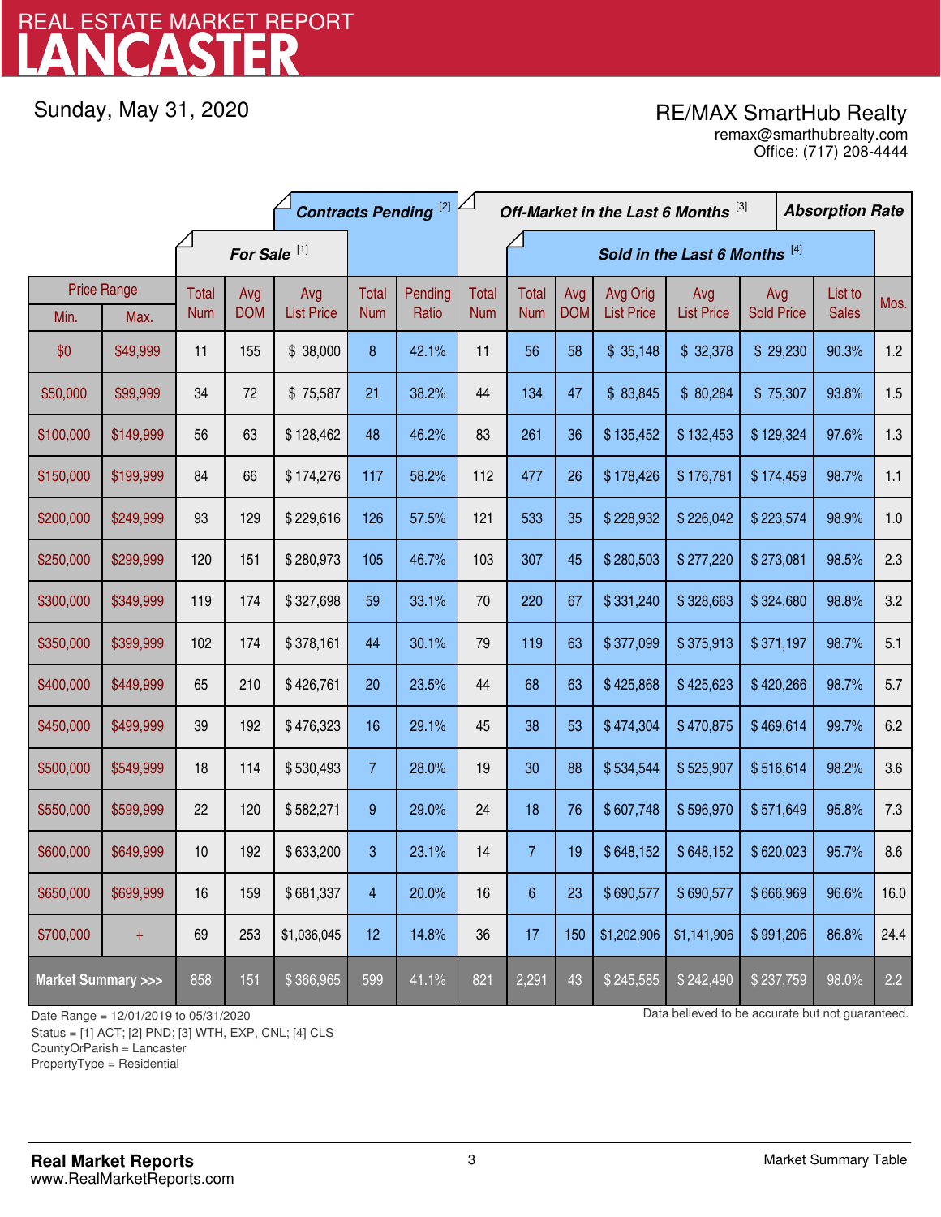# LANCASTER REAL ESTATE MARKET REPORT

Sunday, May 31, 2020

# RE/MAX SmartHub Realty

Office: (717) 208-4444 remax@smarthubrealty.com

|                                    |           | <b>Contracts Pending</b> <sup>[2]</sup> |            |                   |                |                               | Off-Market in the Last 6 Months [3] |                |            |                   |                   |                   | <b>Absorption Rate</b> |              |      |
|------------------------------------|-----------|-----------------------------------------|------------|-------------------|----------------|-------------------------------|-------------------------------------|----------------|------------|-------------------|-------------------|-------------------|------------------------|--------------|------|
|                                    |           | For Sale <sup>[1]</sup>                 |            |                   |                | Sold in the Last 6 Months [4] |                                     |                |            |                   |                   |                   |                        |              |      |
| <b>Price Range</b>                 |           | Total                                   | Avg        | Avg               | Total          | Pending                       | <b>Total</b>                        | <b>Total</b>   | Avg        | Avg Orig          | Avg               | Avg               |                        | List to      | Mos. |
| Min.                               | Max.      | <b>Num</b>                              | <b>DOM</b> | <b>List Price</b> | <b>Num</b>     | Ratio                         | <b>Num</b>                          | <b>Num</b>     | <b>DOM</b> | <b>List Price</b> | <b>List Price</b> | <b>Sold Price</b> |                        | <b>Sales</b> |      |
| \$0                                | \$49,999  | 11                                      | 155        | \$38,000          | 8              | 42.1%                         | 11                                  | 56             | 58         | \$35,148          | \$32,378          | \$29,230          |                        | 90.3%        | 1.2  |
| \$50,000                           | \$99,999  | 34                                      | 72         | \$75,587          | 21             | 38.2%                         | 44                                  | 134            | 47         | \$83,845          | \$80,284          | \$75,307          |                        | 93.8%        | 1.5  |
| \$100,000                          | \$149,999 | 56                                      | 63         | \$128,462         | 48             | 46.2%                         | 83                                  | 261            | 36         | \$135,452         | \$132,453         | \$129,324         |                        | 97.6%        | 1.3  |
| \$150,000                          | \$199,999 | 84                                      | 66         | \$174,276         | 117            | 58.2%                         | 112                                 | 477            | 26         | \$178,426         | \$176,781         | \$174,459         |                        | 98.7%        | 1.1  |
| \$200,000                          | \$249,999 | 93                                      | 129        | \$229,616         | 126            | 57.5%                         | 121                                 | 533            | 35         | \$228,932         | \$226,042         | \$223,574         |                        | 98.9%        | 1.0  |
| \$250,000                          | \$299,999 | 120                                     | 151        | \$280,973         | 105            | 46.7%                         | 103                                 | 307            | 45         | \$280,503         | \$277,220         | \$273,081         |                        | 98.5%        | 2.3  |
| \$300,000                          | \$349,999 | 119                                     | 174        | \$327,698         | 59             | 33.1%                         | 70                                  | 220            | 67         | \$331,240         | \$328,663         | \$324,680         |                        | 98.8%        | 3.2  |
| \$350,000                          | \$399,999 | 102                                     | 174        | \$378,161         | 44             | 30.1%                         | 79                                  | 119            | 63         | \$377,099         | \$375,913         | \$371,197         |                        | 98.7%        | 5.1  |
| \$400,000                          | \$449,999 | 65                                      | 210        | \$426,761         | 20             | 23.5%                         | 44                                  | 68             | 63         | \$425,868         | \$425,623         | \$420,266         |                        | 98.7%        | 5.7  |
| \$450,000                          | \$499,999 | 39                                      | 192        | \$476,323         | 16             | 29.1%                         | 45                                  | 38             | 53         | \$474,304         | \$470,875         | \$469,614         |                        | 99.7%        | 6.2  |
| \$500,000                          | \$549,999 | 18                                      | 114        | \$530,493         | $\overline{7}$ | 28.0%                         | 19                                  | 30             | 88         | \$534,544         | \$525,907         | \$516,614         |                        | 98.2%        | 3.6  |
| \$550,000                          | \$599,999 | 22                                      | 120        | \$582,271         | 9              | 29.0%                         | 24                                  | 18             | 76         | \$607,748         | \$596,970         | \$571,649         |                        | 95.8%        | 7.3  |
| \$600,000                          | \$649,999 | 10                                      | 192        | \$633,200         | 3              | 23.1%                         | 14                                  | $\overline{7}$ | 19         | \$648,152         | \$648,152         | \$620,023         |                        | 95.7%        | 8.6  |
| \$650,000                          | \$699,999 | 16                                      | 159        | \$681,337         | 4              | 20.0%                         | 16                                  | 6              | 23         | \$690,577         | \$690,577         | \$666,969         |                        | 96.6%        | 16.0 |
| \$700,000                          | $+$       | 69                                      | 253        | \$1,036,045       | 12             | 14.8%                         | 36                                  | 17             | 150        | \$1,202,906       | \$1,141,906       | \$991,206         |                        | 86.8%        | 24.4 |
| <b>Market Summary &gt;&gt;&gt;</b> |           | 858                                     | 151        | \$366,965         | 599            | 41.1%                         | 821                                 | 2,291          | 43         | \$245,585         | \$242,490         | \$237,759         |                        | 98.0%        | 2.2  |

Status = [1] ACT; [2] PND; [3] WTH, EXP, CNL; [4] CLS

CountyOrParish = Lancaster

PropertyType = Residential

1

Date Range = 12/01/2019 to 05/31/2020 Date Range = 12/01/2019 to 05/31/2020